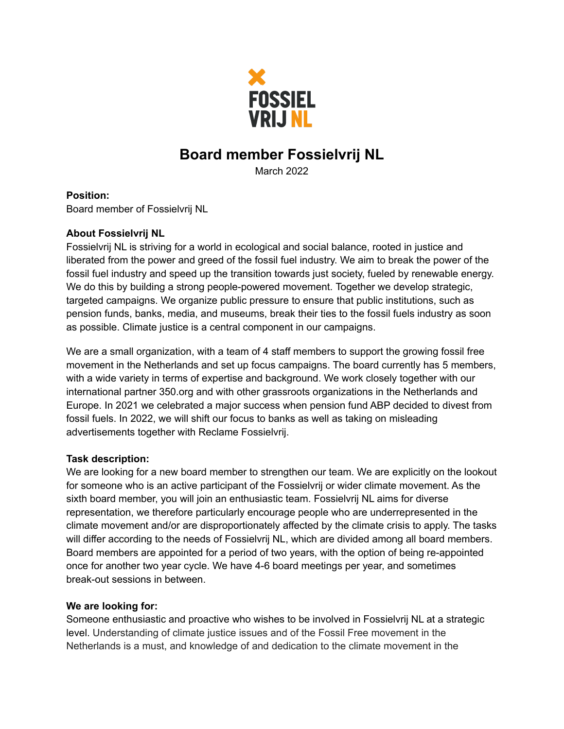

# **Board member Fossielvrij NL**

March 2022

## **Position:**

Board member of Fossielvrij NL

## **About Fossielvrij NL**

Fossielvrij NL is striving for a world in ecological and social balance, rooted in justice and liberated from the power and greed of the fossil fuel industry. We aim to break the power of the fossil fuel industry and speed up the transition towards just society, fueled by renewable energy. We do this by building a strong people-powered movement. Together we develop strategic, targeted campaigns. We organize public pressure to ensure that public institutions, such as pension funds, banks, media, and museums, break their ties to the fossil fuels industry as soon as possible. Climate justice is a central component in our campaigns.

We are a small organization, with a team of 4 staff members to support the growing fossil free movement in the Netherlands and set up focus campaigns. The board currently has 5 members, with a wide variety in terms of expertise and background. We work closely together with our international partner 350.org and with other grassroots organizations in the Netherlands and Europe. In 2021 we celebrated a major success when pension fund ABP decided to divest from fossil fuels. In 2022, we will shift our focus to banks as well as taking on misleading advertisements together with Reclame Fossielvrij.

## **Task description:**

We are looking for a new board member to strengthen our team. We are explicitly on the lookout for someone who is an active participant of the Fossielvrij or wider climate movement. As the sixth board member, you will join an enthusiastic team. Fossielvrij NL aims for diverse representation, we therefore particularly encourage people who are underrepresented in the climate movement and/or are disproportionately affected by the climate crisis to apply. The tasks will differ according to the needs of Fossielvrij NL, which are divided among all board members. Board members are appointed for a period of two years, with the option of being re-appointed once for another two year cycle. We have 4-6 board meetings per year, and sometimes break-out sessions in between.

## **We are looking for:**

Someone enthusiastic and proactive who wishes to be involved in Fossielvrij NL at a strategic level. Understanding of climate justice issues and of the Fossil Free movement in the Netherlands is a must, and knowledge of and dedication to the climate movement in the